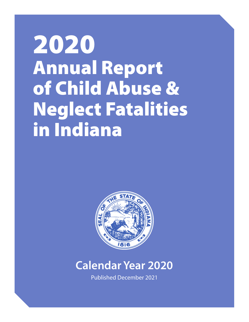# 2020 Annual Report of Child Abuse & Neglect Fatalities in Indiana



# **Calendar Year 2020**

Published December 2021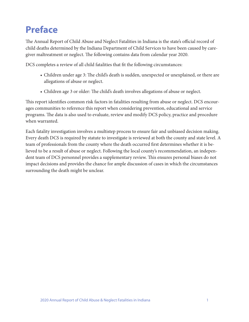# **Preface**

The Annual Report of Child Abuse and Neglect Fatalities in Indiana is the state's official record of child deaths determined by the Indiana Department of Child Services to have been caused by caregiver maltreatment or neglect. The following contains data from calendar year 2020.

DCS completes a review of all child fatalities that fit the following circumstances:

- Children under age 3: The child's death is sudden, unexpected or unexplained, or there are allegations of abuse or neglect.
- Children age 3 or older: The child's death involves allegations of abuse or neglect.

This report identifies common risk factors in fatalities resulting from abuse or neglect. DCS encourages communities to reference this report when considering prevention, educational and service programs. The data is also used to evaluate, review and modify DCS policy, practice and procedure when warranted.

Each fatality investigation involves a multistep process to ensure fair and unbiased decision making. Every death DCS is required by statute to investigate is reviewed at both the county and state level. A team of professionals from the county where the death occurred first determines whether it is believed to be a result of abuse or neglect. Following the local county's recommendation, an independent team of DCS personnel provides a supplementary review. This ensures personal biases do not impact decisions and provides the chance for ample discussion of cases in which the circumstances surrounding the death might be unclear.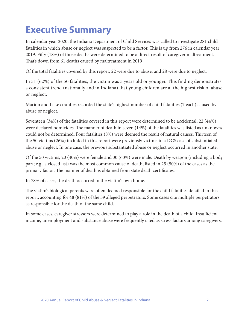# **Executive Summary**

In calendar year 2020, the Indiana Department of Child Services was called to investigate 281 child fatalities in which abuse or neglect was suspected to be a factor. This is up from 276 in calendar year 2019. Fifty (18%) of those deaths were determined to be a direct result of caregiver maltreatment. That's down from 61 deaths caused by maltreatment in 2019

Of the total fatalities covered by this report, 22 were due to abuse, and 28 were due to neglect.

In 31 (62%) of the 50 fatalities, the victim was 3 years old or younger. This finding demonstrates a consistent trend (nationally and in Indiana) that young children are at the highest risk of abuse or neglect.

Marion and Lake counties recorded the state's highest number of child fatalities (7 each) caused by abuse or neglect.

Seventeen (34%) of the fatalities covered in this report were determined to be accidental; 22 (44%) were declared homicides. The manner of death in seven (14%) of the fatalities was listed as unknown/ could not be determined. Four fatalities (8%) were deemed the result of natural causes. Thirteen of the 50 victims (26%) included in this report were previously victims in a DCS case of substantiated abuse or neglect. In one case, the previous substantiated abuse or neglect occurred in another state.

Of the 50 victims, 20 (40%) were female and 30 (60%) were male. Death by weapon (including a body part; e.g., a closed fist) was the most common cause of death, listed in 25 (50%) of the cases as the primary factor. The manner of death is obtained from state death certificates.

In 78% of cases, the death occurred in the victim's own home.

The victim's biological parents were often deemed responsible for the child fatalities detailed in this report, accounting for 48 (81%) of the 59 alleged perpetrators. Some cases cite multiple perpetrators as responsible for the death of the same child.

In some cases, caregiver stressors were determined to play a role in the death of a child. Insufficient income, unemployment and substance abuse were frequently cited as stress factors among caregivers.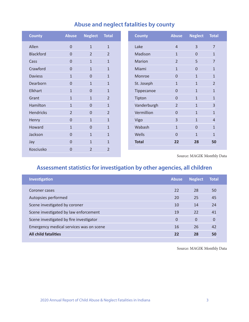| <b>County</b>    | <b>Abuse</b>   | <b>Neglect</b> | <b>Total</b>   |
|------------------|----------------|----------------|----------------|
| Allen            | $\overline{0}$ | $\mathbf{1}$   | $\mathbf{1}$   |
| <b>Blackford</b> | $\Omega$       | $\overline{2}$ | $\overline{2}$ |
| Cass             | $\mathbf{0}$   | $\mathbf{1}$   | $\mathbf{1}$   |
| Crawford         | $\mathbf 0$    | $\mathbf{1}$   | $\mathbf{1}$   |
| <b>Daviess</b>   | $\mathbf{1}$   | $\overline{0}$ | $\mathbf{1}$   |
| Dearborn         | $\mathbf 0$    | $\mathbf{1}$   | $\mathbf{1}$   |
| Elkhart          | $\mathbf{1}$   | $\overline{0}$ | $\mathbf{1}$   |
| Grant            | $\mathbf{1}$   | $\mathbf{1}$   | $\overline{2}$ |
| Hamilton         | $\mathbf{1}$   | $\overline{0}$ | $\mathbf{1}$   |
| Hendricks        | $\overline{2}$ | 0              | $\overline{2}$ |
| Henry            | $\mathbf 0$    | $\mathbf{1}$   | $\mathbf{1}$   |
| Howard           | $\mathbf{1}$   | $\mathbf 0$    | $\mathbf{1}$   |
| Jackson          | $\overline{0}$ | $\mathbf{1}$   | $\mathbf{1}$   |
| Jay              | $\overline{0}$ | $\mathbf{1}$   | $\mathbf{1}$   |
| Kosciusko        | $\overline{0}$ | $\overline{2}$ | $\overline{2}$ |
|                  |                |                |                |

# **Abuse and neglect fatalities by county**

**Assessment statistics for investigation by other agencies, all children**

| <b>Investigation</b>                    | <b>Abuse</b> | <b>Neglect</b> | <b>Total</b> |
|-----------------------------------------|--------------|----------------|--------------|
| Coroner cases                           | 22           | 28             | 50           |
| Autopsies performed                     | 20           | 25             | 45           |
| Scene investigated by coroner           | 10           | 14             | 24           |
| Scene investigated by law enforcement   | 19           | 22             | 41           |
| Scene investigated by fire investigator | 0            | 0              | $\mathbf 0$  |
| Emergency medical services was on scene | 16           | 26             | 42           |
| <b>All child fatalities</b>             | 22           | 28             | 50           |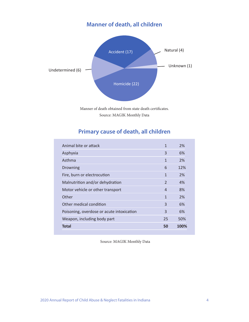# **Manner of death, all children**



Manner of death obtained from state death certificates. Source: MAGIK Monthly Data

# **Primary cause of death, all children**

| Animal bite or attack                     | $\mathbf{1}$             | 2%   |
|-------------------------------------------|--------------------------|------|
| Asphyxia                                  | 3                        | 6%   |
| Asthma                                    | $\mathbf{1}$             | 2%   |
| Drowning                                  | 6                        | 12%  |
| Fire, burn or electrocution               | $\mathbf{1}$             | 2%   |
| Malnutrition and/or dehydration           | $\overline{\phantom{a}}$ | 4%   |
| Motor vehicle or other transport          | 4                        | 8%   |
| Other                                     | $\mathbf{1}$             | 2%   |
| Other medical condition                   | 3                        | 6%   |
| Poisoning, overdose or acute intoxication | 3                        | 6%   |
| Weapon, including body part               | 25                       | 50%  |
| <b>Total</b>                              | 50                       | 100% |
|                                           |                          |      |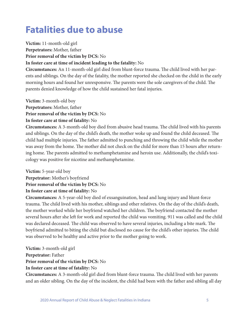# **Fatalities due to abuse**

**Victim:** 11-month-old girl

**Perpetrators:** Mother, father

**Prior removal of the victim by DCS:** No

#### **In foster care at time of incident leading to the fatality:** No

**Circumstances:** An 11-month-old girl died from blunt-force trauma. The child lived with her parents and siblings. On the day of the fatality, the mother reported she checked on the child in the early morning hours and found her unresponsive. The parents were the sole caregivers of the child. The parents denied knowledge of how the child sustained her fatal injuries.

**Victim:** 3-month-old boy **Perpetrators:** Mother, father **Prior removal of the victim by DCS:** No **In foster care at time of fatality:** No

**Circumstances:** A 3-month-old boy died from abusive head trauma. The child lived with his parents and siblings. On the day of the child's death, the mother woke up and found the child deceased. The child had multiple injuries. The father admitted to punching and throwing the child while the mother was away from the home. The mother did not check on the child for more than 15 hours after returning home. The parents admitted to methamphetamine and heroin use. Additionally, the child's toxicology was positive for nicotine and methamphetamine.

**Victim:** 5-year-old boy

**Perpetrator:** Mother's boyfriend **Prior removal of the victim by DCS:** No **In foster care at time of fatality:** No

**Circumstances:** A 5-year-old boy died of exsanguination, head and lung injury and blunt-force trauma. The child lived with his mother, siblings and other relatives. On the day of the child's death, the mother worked while her boyfriend watched her children. The boyfriend contacted the mother several hours after she left for work and reported the child was vomiting. 911 was called and the child was declared deceased. The child was observed to have several injuries, including a bite mark. The boyfriend admitted to biting the child but disclosed no cause for the child's other injuries. The child was observed to be healthy and active prior to the mother going to work.

**Victim:** 3-month-old girl **Perpetrator:** Father **Prior removal of the victim by DCS:** No **In foster care at time of fatality:** No

**Circumstances:** A 3-month-old girl died from blunt-force trauma. The child lived with her parents and an older sibling. On the day of the incident, the child had been with the father and sibling all day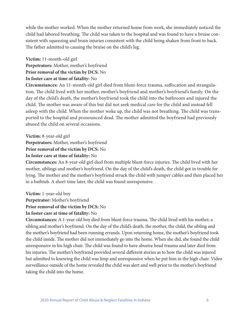while the mother worked. When the mother returned home from work, she immediately noticed the child had labored breathing. The child was taken to the hospital and was found to have a bruise consistent with squeezing and brain injuries consistent with the child being shaken from front to back. The father admitted to causing the bruise on the child's leg.

#### **Victim:** 11-month-old girl **Perpetrators:** Mother, mother's boyfriend **Prior removal of the victim by DCS:** No **In foster care at time of fatality:** No

**Circumstances:** An 11-month-old girl died from blunt-force trauma, suffocation and strangulation. The child lived with her mother, mother's boyfriend and mother's boyfriend's family. On the day of the child's death, the mother's boyfriend took the child into the bathroom and injured the child. The mother was aware of this but did not seek medical care for the child and instead fell asleep with the child. When the mother woke up, the child was not breathing. The child was transported to the hospital and pronounced dead. The mother admitted the boyfriend had previously abused the child on several occasions.

**Victim:** 8-year-old girl

**Perpetrators:** Mother, mother's boyfriend

**Prior removal of the victim by DCS:** No

#### **In foster care at time of fatality:** No

**Circumstances:** An 8-year-old girl died from multiple blunt-force injuries. The child lived with her mother, siblings and mother's boyfriend. On the day of the child's death, the child got in trouble for lying. The mother and the mother's boyfriend struck the child with jumper cables and then placed her in a bathtub. A short time later, the child was found unresponsive.

**Victim:** 1-year-old boy

**Perpetrator:** Mother's boyfriend

**Prior removal of the victim by DCS:** No

#### **In foster care at time of fatality:** No

**Circumstances:** A 1-year-old boy died from blunt-force trauma. The child lived with his mother, a sibling and mother's boyfriend. On the day of the child's death, the mother, the child, the sibling and the mother's boyfriend had been running errands. Upon returning home, the mother's boyfriend took the child inside. The mother did not immediately go into the home. When she did, she found the child unresponsive in his high chair. The child was found to have abusive head trauma and later died from his injuries. The mother's boyfriend provided several different stories as to how the child was injured but admitted to knowing the child was limp and unresponsive when he put him in the high chair. Video surveillance outside of the home revealed the child was alert and well prior to the mother's boyfriend taking the child into the home.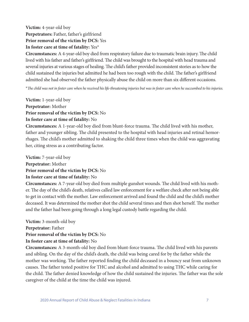#### **Victim:** 4-year-old boy **Perpetrators:** Father, father's girlfriend **Prior removal of the victim by DCS:** Yes **In foster care at time of fatality:** Yes\*

**Circumstances:** A 4-year-old boy died from respiratory failure due to traumatic brain injury. The child lived with his father and father's girlfriend. The child was brought to the hospital with head trauma and several injuries at various stages of healing. The child's father provided inconsistent stories as to how the child sustained the injuries but admitted he had been too rough with the child. The father's girlfriend admitted she had observed the father physically abuse the child on more than six different occasions.

\**The child was not in foster care when he received his life-threatening injuries but was in foster care when he succumbed to his injuries.*

**Victim:** 1-year-old boy **Perpetrator:** Mother **Prior removal of the victim by DCS:** No **In foster care at time of fatality:** No

**Circumstances:** A 1-year-old boy died from blunt-force trauma. The child lived with his mother, father and younger sibling. The child presented to the hospital with head injuries and retinal hemorrhages. The child's mother admitted to shaking the child three times when the child was aggravating her, citing stress as a contributing factor.

**Victim:** 7-year-old boy **Perpetrator:** Mother **Prior removal of the victim by DCS:** No **In foster care at time of fatality:** No

**Circumstances:** A 7-year-old boy died from multiple gunshot wounds. The child lived with his mother. The day of the child's death, relatives called law enforcement for a welfare check after not being able to get in contact with the mother. Law enforcement arrived and found the child and the child's mother deceased. It was determined the mother shot the child several times and then shot herself. The mother and the father had been going through a long legal custody battle regarding the child.

**Victim:** 3-month-old boy **Perpetrator:** Father **Prior removal of the victim by DCS:** No

#### **In foster care at time of fatality:** No

**Circumstances:** A 3-month-old boy died from blunt-force trauma. The child lived with his parents and sibling. On the day of the child's death, the child was being cared for by the father while the mother was working. The father reported finding the child deceased in a bouncy seat from unknown causes. The father tested positive for THC and alcohol and admitted to using THC while caring for the child. The father denied knowledge of how the child sustained the injuries. The father was the sole caregiver of the child at the time the child was injured.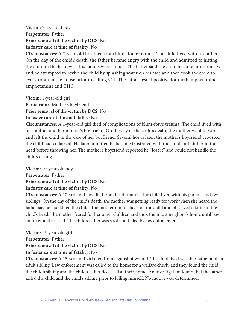#### **Victim:** 7-year-old boy **Perpetrator:** Father **Prior removal of the victim by DCS:** No **In foster care at time of fatality:** No

**Circumstances:** A 7-year-old boy died from blunt-force trauma. The child lived with his father. On the day of the child's death, the father became angry with the child and admitted to hitting the child in the head with his hand several times. The father said the child became unresponsive, and he attempted to revive the child by splashing water on his face and then took the child to every room in the house prior to calling 911. The father tested positive for methamphetamine, amphetamine and THC.

**Victim:** 1-year-old girl

**Perpetrator:** Mother's boyfriend

**Prior removal of the victim by DCS:** No

#### **In foster care at time of fatality:** No

**Circumstances:** A 1-year-old girl died of complications of blunt-force trauma. The child lived with her mother and her mother's boyfriend. On the day of the child's death, the mother went to work and left the child in the care of her boyfriend. Several hours later, the mother's boyfriend reported the child had collapsed. He later admitted he became frustrated with the child and hit her in the head before throwing her. The mother's boyfriend reported he "lost it" and could not handle the child's crying.

**Victim:** 10-year-old boy **Perpetrator:** Father **Prior removal of the victim by DCS:** No **In foster care at time of fatality:** No

**Circumstances:** A 10-year-old boy died from head trauma. The child lived with his parents and two siblings. On the day of the child's death, the mother was getting ready for work when she heard the father say he had killed the child. The mother ran to check on the child and observed a knife in the child's head. The mother feared for her other children and took them to a neighbor's home until law enforcement arrived. The child's father was shot and killed by law enforcement.

**Victim:** 15-year-old girl **Perpetrator:** Father **Prior removal of the victim by DCS:** No **In foster care at time of fatality:** No

**Circumstances:** A 15-year-old girl died from a gunshot wound. The child lived with her father and an adult sibling. Law enforcement was called to the home for a welfare check, and they found the child, the child's sibling and the child's father deceased at their home. An investigation found that the father killed the child and the child's sibling prior to killing himself. No motive was determined.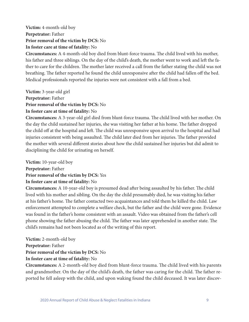#### **Victim:** 4-month-old boy **Perpetrator:** Father **Prior removal of the victim by DCS:** No **In foster care at time of fatality:** No

**Circumstances:** A 4-month-old boy died from blunt-force trauma. The child lived with his mother, his father and three siblings. On the day of the child's death, the mother went to work and left the father to care for the children. The mother later received a call from the father stating the child was not breathing. The father reported he found the child unresponsive after the child had fallen off the bed. Medical professionals reported the injuries were not consistent with a fall from a bed.

**Victim:** 3-year-old girl **Perpetrator:** Father **Prior removal of the victim by DCS:** No **In foster care at time of fatality:** No

**Circumstances:** A 3-year-old girl died from blunt-force trauma. The child lived with her mother. On the day the child sustained her injuries, she was visiting her father at his home. The father dropped the child off at the hospital and left. The child was unresponsive upon arrival to the hospital and had injuries consistent with being assaulted. The child later died from her injuries. The father provided the mother with several different stories about how the child sustained her injuries but did admit to disciplining the child for urinating on herself.

**Victim:** 10-year-old boy **Perpetrator:** Father

#### **Prior removal of the victim by DCS:** Yes

#### **In foster care at time of fatality:** No

**Circumstances:** A 10-year-old boy is presumed dead after being assaulted by his father. The child lived with his mother and sibling. On the day the child presumably died, he was visiting his father at his father's home. The father contacted two acquaintances and told them he killed the child. Law enforcement attempted to complete a welfare check, but the father and the child were gone. Evidence was found in the father's home consistent with an assault. Video was obtained from the father's cell phone showing the father abusing the child. The father was later apprehended in another state. The child's remains had not been located as of the writing of this report.

**Victim:** 2-month-old boy

**Perpetrator:** Father

**Prior removal of the victim by DCS:** No

#### **In foster care at time of fatality:** No

**Circumstances:** A 2-month-old boy died from blunt-force trauma. The child lived with his parents and grandmother. On the day of the child's death, the father was caring for the child. The father reported he fell asleep with the child, and upon waking found the child deceased. It was later discov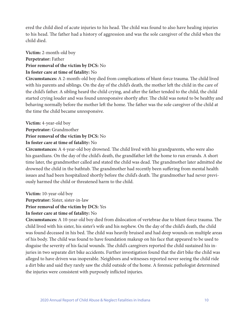ered the child died of acute injuries to his head. The child was found to also have healing injuries to his head. The father had a history of aggression and was the sole caregiver of the child when the child died.

**Victim:** 2-month-old boy **Perpetrator:** Father **Prior removal of the victim by DCS:** No **In foster care at time of fatality:** No

**Circumstances:** A 2-month-old boy died from complications of blunt-force trauma. The child lived with his parents and siblings. On the day of the child's death, the mother left the child in the care of the child's father. A sibling heard the child crying, and after the father tended to the child, the child started crying louder and was found unresponsive shortly after. The child was noted to be healthy and behaving normally before the mother left the home. The father was the sole caregiver of the child at the time the child became unresponsive.

**Victim:** 4-year-old boy

**Perpetrator:** Grandmother

**Prior removal of the victim by DCS:** No

**In foster care at time of fatality:** No

**Circumstances:** A 4-year-old boy drowned. The child lived with his grandparents, who were also his guardians. On the day of the child's death, the grandfather left the home to run errands. A short time later, the grandmother called and stated the child was dead. The grandmother later admitted she drowned the child in the bathtub. The grandmother had recently been suffering from mental health issues and had been hospitalized shortly before the child's death. The grandmother had never previously harmed the child or threatened harm to the child.

**Victim:** 10-year-old boy

**Perpetrator:** Sister, sister-in-law

**Prior removal of the victim by DCS:** Yes

#### **In foster care at time of fatality:** No

**Circumstances:** A 10-year-old boy died from dislocation of vertebrae due to blunt-force trauma. The child lived with his sister, his sister's wife and his nephew. On the day of the child's death, the child was found deceased in his bed. The child was heavily bruised and had deep wounds on multiple areas of his body. The child was found to have foundation makeup on his face that appeared to be used to disguise the severity of his facial wounds. The child's caregivers reported the child sustained his injuries in two separate dirt bike accidents. Further investigation found that the dirt bike the child was alleged to have driven was inoperable. Neighbors and witnesses reported never seeing the child ride a dirt bike and said they rarely saw the child outside of the home. A forensic pathologist determined the injuries were consistent with purposely inflicted injuries.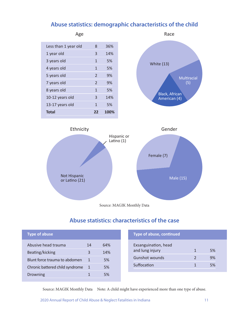### **Abuse statistics: demographic characteristics of the child**





# **Abuse statistics: characteristics of the case**

| <b>Type of abuse</b>            |    |     | <b>Type of abuse, conti</b> |
|---------------------------------|----|-----|-----------------------------|
| Abusive head trauma             | 14 | 64% | Exsanguination, head        |
| Beating/kicking                 | 3  | 14% | and lung injury             |
| Blunt force trauma to abdomen   |    | 5%  | <b>Gunshot wounds</b>       |
| Chronic battered child syndrome | 1  | 5%  | Suffocation                 |
| Drowning                        |    | 5%  |                             |
|                                 |    |     |                             |

| <b>Type of abuse, continued</b>         |    |  |
|-----------------------------------------|----|--|
| Exsanguination, head<br>and lung injury | 5% |  |
| <b>Gunshot wounds</b>                   | 9% |  |
| Suffocation                             | 5% |  |

Source: MAGIK Monthly Data Note: A child might have experienced more than one type of abuse.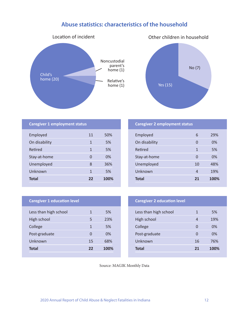# **Abuse statistics: characteristics of the household**





| 11           | 50%                                  |
|--------------|--------------------------------------|
| 1            | 5%                                   |
| $\mathbf{1}$ | 5%                                   |
| O            | 0%                                   |
| 8            | 36%                                  |
| 1            | 5%                                   |
| 22           | 100%                                 |
|              | <b>Caregiver 1 employment status</b> |

#### **Caregiver 2 employment status**

| Employed      | 6  | 29%  |
|---------------|----|------|
| On disability | 0  | 0%   |
| Retired       | 1  | 5%   |
| Stay-at-home  | 0  | 0%   |
| Unemployed    | 10 | 48%  |
| Unknown       | 4  | 19%  |
| <b>Total</b>  | 21 | 100% |

#### **Caregiver 1 education level**

| Less than high school | 1  | 5%   |
|-----------------------|----|------|
| High school           | 5  | 23%  |
| College               | 1  | 5%   |
| Post-graduate         | 0  | 0%   |
| Unknown               | 15 | 68%  |
| Total                 | 22 | 100% |

| <b>Caregiver 2 education level</b> |    |      |
|------------------------------------|----|------|
| Less than high school              | 1  | 5%   |
| High school                        | 4  | 19%  |
| College                            | 0  | 0%   |
| Post-graduate                      | 0  | 0%   |
| Unknown                            | 16 | 76%  |
| <b>Total</b>                       | 21 | 100% |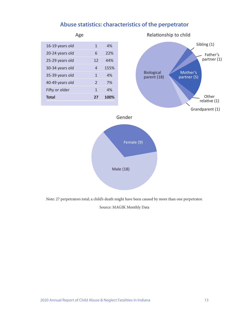

### **Abuse statistics: characteristics of the perpetrator**

Note: 27 perpetrators total; a child's death might have been caused by more than one perpetrator.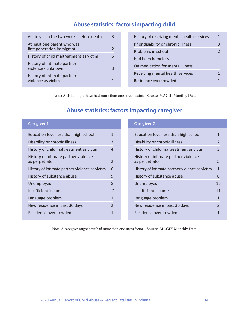# **Abuse statistics: factors impacting child**

| Acutely ill in the two weeks before death                 |               |
|-----------------------------------------------------------|---------------|
| At least one parent who was<br>first-generation immigrant | $\mathcal{P}$ |
| History of child maltreatment as victim                   | 5             |
| History of intimate partner<br>violence - unknown         | 3             |
| History of intimate partner<br>violence as victim         |               |

| History of receiving mental health services | 1             |
|---------------------------------------------|---------------|
| Prior disability or chronic illness         | 3             |
| Problems in school                          | $\mathcal{P}$ |
| Had been homeless                           | 1             |
| On medication for mental illness            | 1             |
| Receiving mental health services            |               |
| Residence overcrowded                       |               |

Note: A child might have had more than one stress factor. Source: MAGIK Monthly Data

# **Abuse statistics: factors impacting caregiver**

| <b>Caregiver 1</b>                                     |                | <b>Caregiver 2</b>                                     |    |
|--------------------------------------------------------|----------------|--------------------------------------------------------|----|
| Education level less than high school                  | 1              | Education level less than high school                  |    |
| Disability or chronic illness                          | 3              | Disability or chronic illness                          |    |
| History of child maltreatment as victim                | 4              | History of child maltreatment as victim                | 3  |
| History of intimate partner violence<br>as perpetrator | 2              | History of intimate partner violence<br>as perpetrator | 5  |
| History of intimate partner violence as victim         | 6              | History of intimate partner violence as victim         |    |
| History of substance abuse                             | 9              | History of substance abuse                             | 8  |
| Unemployed                                             | 8              | Unemployed                                             | 10 |
| Insufficient income                                    | 12             | Insufficient income                                    | 11 |
| Language problem                                       | $\mathbf{1}$   | Language problem                                       |    |
| New residence in past 30 days                          | $\mathfrak{p}$ | New residence in past 30 days                          |    |
| Residence overcrowded                                  | 1              | Residence overcrowded                                  |    |
|                                                        |                |                                                        |    |

Note: A caregiver might have had more than one stress factor. Source: MAGIK Monthly Data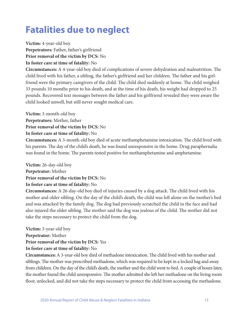# **Fatalities due to neglect**

**Victim:** 4-year-old boy

**Perpetrators:** Father, father's girlfriend

**Prior removal of the victim by DCS:** No

**In foster care at time of fatality:** No

**Circumstances:** A 4-year-old boy died of complications of severe dehydration and malnutrition. The child lived with his father, a sibling, the father's girlfriend and her children. The father and his girlfriend were the primary caregivers of the child. The child died suddenly at home. The child weighed 33 pounds 10 months prior to his death, and at the time of his death, his weight had dropped to 25 pounds. Recovered text messages between the father and his girlfriend revealed they were aware the child looked unwell, but still never sought medical care.

**Victim:** 3-month-old boy **Perpetrators:** Mother, father **Prior removal of the victim by DCS:** No

**In foster care at time of fatality:** No

**Circumstances:** A 3-month-old boy died of acute methamphetamine intoxication. The child lived with his parents. The day of the child's death, he was found unresponsive in the home. Drug paraphernalia was found in the home. The parents tested positive for methamphetamine and amphetamine.

**Victim:** 26-day-old boy **Perpetrator:** Mother **Prior removal of the victim by DCS:** No **In foster care at time of fatality:** No

**Circumstances:** A 26-day-old boy died of injuries caused by a dog attack. The child lived with his mother and older sibling. On the day of the child's death, the child was left alone on the mother's bed and was attacked by the family dog. The dog had previously scratched the child in the face and had also injured the older sibling. The mother said the dog was jealous of the child. The mother did not take the steps necessary to protect the child from the dog.

**Victim:** 3-year-old boy **Perpetrator:** Mother **Prior removal of the victim by DCS:** Yes **In foster care at time of fatality:** No

**Circumstances:** A 3-year-old boy died of methadone intoxication. The child lived with his mother and siblings. The mother was prescribed methadone, which was required to be kept in a locked bag and away from children. On the day of the child's death, the mother and the child went to bed. A couple of hours later, the mother found the child unresponsive. The mother admitted she left her methadone on the living room floor, unlocked, and did not take the steps necessary to protect the child from accessing the methadone.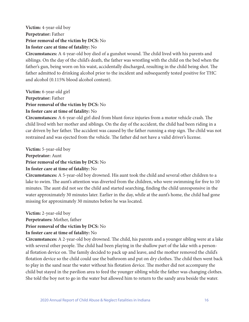#### **Victim:** 4-year-old boy **Perpetrator:** Father **Prior removal of the victim by DCS:** No **In foster care at time of fatality:** No

**Circumstances:** A 4-year-old boy died of a gunshot wound. The child lived with his parents and siblings. On the day of the child's death, the father was wrestling with the child on the bed when the father's gun, being worn on his waist, accidentally discharged, resulting in the child being shot. The father admitted to drinking alcohol prior to the incident and subsequently tested positive for THC and alcohol (0.115% blood alcohol content).

**Victim:** 6-year-old girl **Perpetrator:** Father **Prior removal of the victim by DCS:** No

# **In foster care at time of fatality:** No

**Circumstances:** A 6-year-old girl died from blunt-force injuries from a motor vehicle crash. The child lived with her mother and siblings. On the day of the accident, the child had been riding in a car driven by her father. The accident was caused by the father running a stop sign. The child was not restrained and was ejected from the vehicle. The father did not have a valid driver's license.

**Victim:** 5-year-old boy **Perpetrator:** Aunt **Prior removal of the victim by DCS:** No **In foster care at time of fatality:** No

**Circumstances:** A 5-year-old boy drowned. His aunt took the child and several other children to a lake to swim. The aunt's attention was diverted from the children, who were swimming for five to 10 minutes. The aunt did not see the child and started searching, finding the child unresponsive in the water approximately 30 minutes later. Earlier in the day, while at the aunt's home, the child had gone missing for approximately 30 minutes before he was located.

**Victim:** 2-year-old boy

**Perpetrators:** Mother, father

**Prior removal of the victim by DCS:** No

#### **In foster care at time of fatality:** No

**Circumstances:** A 2-year-old boy drowned. The child, his parents and a younger sibling were at a lake with several other people. The child had been playing in the shallow part of the lake with a personal flotation device on. The family decided to pack up and leave, and the mother removed the child's flotation device so the child could use the bathroom and put on dry clothes. The child then went back to play in the sand near the water without his flotation device. The mother did not accompany the child but stayed in the pavilion area to feed the younger sibling while the father was changing clothes. She told the boy not to go in the water but allowed him to return to the sandy area beside the water.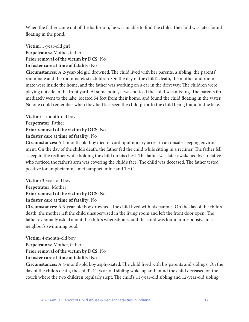When the father came out of the bathroom, he was unable to find the child. The child was later found floating in the pond.

**Victim:** 1-year-old girl **Perpetrators:** Mother, father **Prior removal of the victim by DCS:** No **In foster care at time of fatality:** No

**Circumstances:** A 2-year-old girl drowned. The child lived with her parents, a sibling, the parents' roommate and the roommate's six children. On the day of the child's death, the mother and roommate were inside the home, and the father was working on a car in the driveway. The children were playing outside in the front yard. At some point, it was noticed the child was missing. The parents immediately went to the lake, located 54 feet from their home, and found the child floating in the water. No one could remember when they had last seen the child prior to the child being found in the lake.

**Victim:** 1-month-old boy **Perpetrator:** Father **Prior removal of the victim by DCS:** No **In foster care at time of fatality:** No

**Circumstances:** A 1-month-old boy died of cardiopulmonary arrest in an unsafe sleeping environment. On the day of the child's death, the father fed the child while sitting in a recliner. The father fell asleep in the recliner while holding the child on his chest. The father was later awakened by a relative who noticed the father's arm was covering the child's face. The child was deceased. The father tested positive for amphetamine, methamphetamine and THC.

**Victim:** 3-year-old boy **Perpetrator:** Mother **Prior removal of the victim by DCS:** No **In foster care at time of fatality:** No

**Circumstances:** A 3-year-old boy drowned. The child lived with his parents. On the day of the child's death, the mother left the child unsupervised in the living room and left the front door open. The father eventually asked about the child's whereabouts, and the child was found unresponsive in a neighbor's swimming pool.

**Victim:** 4-month-old boy **Perpetrators:** Mother, father **Prior removal of the victim by DCS:** No **In foster care at time of fatality:** No

**Circumstances:** A 4-month-old boy asphyxiated. The child lived with his parents and siblings. On the day of the child's death, the child's 11-year-old sibling woke up and found the child deceased on the couch where the two children regularly slept. The child's 11-year-old sibling and 12-year-old sibling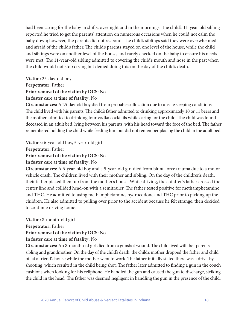had been caring for the baby in shifts, overnight and in the mornings. The child's 11-year-old sibling reported he tried to get the parents' attention on numerous occasions when he could not calm the baby down; however, the parents did not respond. The child's siblings said they were overwhelmed and afraid of the child's father. The child's parents stayed on one level of the house, while the child and siblings were on another level of the house, and rarely checked on the baby to ensure his needs were met. The 11-year-old sibling admitted to covering the child's mouth and nose in the past when the child would not stop crying but denied doing this on the day of the child's death.

#### **Victim:** 25-day-old boy **Perpetrator:** Father **Prior removal of the victim by DCS:** No **In foster care at time of fatality:** No

**Circumstances:** A 25-day-old boy died from probable suffocation due to unsafe sleeping conditions. The child lived with his parents. The child's father admitted to drinking approximately 10 or 11 beers and the mother admitted to drinking four vodka cocktails while caring for the child. The child was found deceased in an adult bed, lying between his parents, with his head toward the foot of the bed. The father remembered holding the child while feeding him but did not remember placing the child in the adult bed.

**Victims:** 6-year-old boy, 5-year-old girl

**Perpetrator:** Father

#### **Prior removal of the victim by DCS:** No

#### **In foster care at time of fatality:** No

**Circumstances:** A 6-year-old boy and a 5-year-old girl died from blunt-force trauma due to a motor vehicle crash. The children lived with their mother and sibling. On the day of the children's death, their father picked them up from the mother's house. While driving, the children's father crossed the center line and collided head-on with a semitrailer. The father tested positive for methamphetamine and THC. He admitted to using methamphetamine, hydrocodone and THC prior to picking up the children. He also admitted to pulling over prior to the accident because he felt strange, then decided to continue driving home.

**Victim:** 8-month-old girl **Perpetrator:** Father

#### **Prior removal of the victim by DCS:** No

#### **In foster care at time of fatality:** No

**Circumstances:** An 8-month-old girl died from a gunshot wound. The child lived with her parents, sibling and grandmother. On the day of the child's death, the child's mother dropped the father and child off at a friend's house while the mother went to work. The father initially stated there was a drive-by shooting, which resulted in the child being shot. The father later admitted to finding a gun in the couch cushions when looking for his cellphone. He handled the gun and caused the gun to discharge, striking the child in the head. The father was deemed negligent in handling the gun in the presence of the child.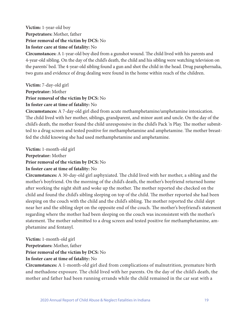#### **Victim:** 1-year-old boy **Perpetrators:** Mother, father **Prior removal of the victim by DCS:** No **In foster care at time of fatality:** No

**Circumstances:** A 1-year-old boy died from a gunshot wound. The child lived with his parents and 4-year-old sibling. On the day of the child's death, the child and his sibling were watching television on the parents' bed. The 4-year-old sibling found a gun and shot the child in the head. Drug paraphernalia, two guns and evidence of drug dealing were found in the home within reach of the children.

**Victim:** 7-day-old girl **Perpetrator:** Mother **Prior removal of the victim by DCS:** No **In foster care at time of fatality:** No

**Circumstances:** A 7-day-old girl died from acute methamphetamine/amphetamine intoxication. The child lived with her mother, siblings, grandparent, and minor aunt and uncle. On the day of the child's death, the mother found the child unresponsive in the child's Pack 'n Play. The mother submitted to a drug screen and tested positive for methamphetamine and amphetamine. The mother breastfed the child knowing she had used methamphetamine and amphetamine.

**Victim:** 1-month-old girl

**Perpetrator:** Mother

**Prior removal of the victim by DCS:** No

#### **In foster care at time of fatality:** No

**Circumstances:** A 30-day-old girl asphyxiated. The child lived with her mother, a sibling and the mother's boyfriend. On the morning of the child's death, the mother's boyfriend returned home after working the night shift and woke up the mother. The mother reported she checked on the child and found the child's sibling sleeping on top of the child. The mother reported she had been sleeping on the couch with the child and the child's sibling. The mother reported the child slept near her and the sibling slept on the opposite end of the couch. The mother's boyfriend's statement regarding where the mother had been sleeping on the couch was inconsistent with the mother's statement. The mother submitted to a drug screen and tested positive for methamphetamine, amphetamine and fentanyl.

**Victim:** 1-month-old girl **Perpetrators:** Mother, father **Prior removal of the victim by DCS:** No

#### **In foster care at time of fatality:** No

**Circumstances:** A 1-month-old girl died from complications of malnutrition, premature birth and methadone exposure. The child lived with her parents. On the day of the child's death, the mother and father had been running errands while the child remained in the car seat with a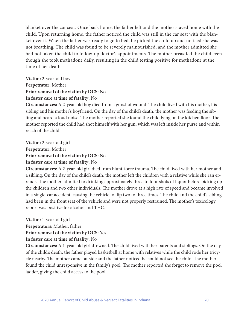blanket over the car seat. Once back home, the father left and the mother stayed home with the child. Upon returning home, the father noticed the child was still in the car seat with the blanket over it. When the father was ready to go to bed, he picked the child up and noticed she was not breathing. The child was found to be severely malnourished, and the mother admitted she had not taken the child to follow-up doctor's appointments. The mother breastfed the child even though she took methadone daily, resulting in the child testing positive for methadone at the time of her death.

**Victim:** 2-year-old boy **Perpetrator:** Mother **Prior removal of the victim by DCS:** No **In foster care at time of fatality:** No

**Circumstances:** A 2-year-old boy died from a gunshot wound. The child lived with his mother, his sibling and his mother's boyfriend. On the day of the child's death, the mother was feeding the sibling and heard a loud noise. The mother reported she found the child lying on the kitchen floor. The mother reported the child had shot himself with her gun, which was left inside her purse and within reach of the child.

**Victim:** 2-year-old girl **Perpetrator:** Mother **Prior removal of the victim by DCS:** No

#### **In foster care at time of fatality:** No

**Circumstances:** A 2-year-old girl died from blunt-force trauma. The child lived with her mother and a sibling. On the day of the child's death, the mother left the children with a relative while she ran errands. The mother admitted to drinking approximately three to four shots of liquor before picking up the children and two other individuals. The mother drove at a high rate of speed and became involved in a single-car accident, causing the vehicle to flip two to three times. The child and the child's sibling had been in the front seat of the vehicle and were not properly restrained. The mother's toxicology report was positive for alcohol and THC.

**Victim:** 1-year-old girl

**Perpetrators:** Mother, father

**Prior removal of the victim by DCS:** Yes

#### **In foster care at time of fatality:** No

**Circumstances:** A 1-year-old girl drowned. The child lived with her parents and siblings. On the day of the child's death, the father played basketball at home with relatives while the child rode her tricycle nearby. The mother came outside and the father noticed he could not see the child. The mother found the child unresponsive in the family's pool. The mother reported she forgot to remove the pool ladder, giving the child access to the pool.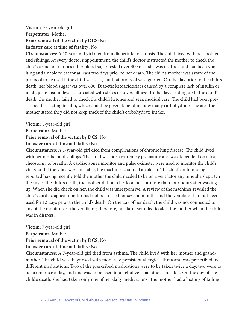#### **Victim:** 10-year-old girl **Perpetrator:** Mother **Prior removal of the victim by DCS:** No **In foster care at time of fatality:** No

**Circumstances:** A 10-year-old girl died from diabetic ketoacidosis. The child lived with her mother and siblings. At every doctor's appointment, the child's doctor instructed the mother to check the child's urine for ketones if her blood sugar tested over 300 or if she was ill. The child had been vomiting and unable to eat for at least two days prior to her death. The child's mother was aware of the protocol to be used if the child was sick, but that protocol was ignored. On the day prior to the child's death, her blood sugar was over 600. Diabetic ketoacidosis is caused by a complete lack of insulin or inadequate insulin levels associated with stress or severe illness. In the days leading up to the child's death, the mother failed to check the child's ketones and seek medical care. The child had been prescribed fast-acting insulin, which could be given depending how many carbohydrates she ate. The mother stated they did not keep track of the child's carbohydrate intake.

**Victim:** 1-year-old girl **Perpetrator:** Mother **Prior removal of the victim by DCS:** No **In foster care at time of fatality:** No

**Circumstances:** A 1-year-old girl died from complications of chronic lung disease. The child lived with her mother and siblings. The child was born extremely premature and was dependent on a tracheostomy to breathe. A cardiac apnea monitor and pulse oximeter were used to monitor the child's vitals, and if the vitals were unstable, the machines sounded an alarm. The child's pulmonologist reported having recently told the mother the child needed to be on a ventilator any time she slept. On the day of the child's death, the mother did not check on her for more than four hours after waking up. When she did check on her, the child was unresponsive. A review of the machines revealed the child's cardiac apnea monitor had not been used for several months and the ventilator had not been used for 12 days prior to the child's death. On the day of her death, the child was not connected to any of the monitors or the ventilator; therefore, no alarm sounded to alert the mother when the child was in distress.

**Victim:** 7-year-old girl **Perpetrator:** Mother **Prior removal of the victim by DCS:** No **In foster care at time of fatality:** No

**Circumstances:** A 7-year-old girl died from asthma. The child lived with her mother and grandmother. The child was diagnosed with moderate persistent allergic asthma and was prescribed five different medications. Two of the prescribed medications were to be taken twice a day, two were to be taken once a day, and one was to be used in a nebulizer machine as needed. On the day of the child's death, she had taken only one of her daily medications. The mother had a history of failing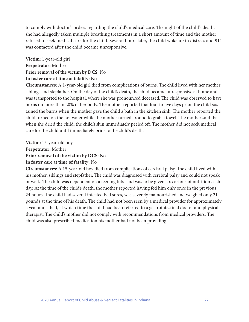to comply with doctor's orders regarding the child's medical care. The night of the child's death, she had allegedly taken multiple breathing treatments in a short amount of time and the mother refused to seek medical care for the child. Several hours later, the child woke up in distress and 911 was contacted after the child became unresponsive.

#### **Victim:** 1-year-old girl **Perpetrator:** Mother **Prior removal of the victim by DCS:** No **In foster care at time of fatality:** No

**Circumstances:** A 1-year-old girl died from complications of burns. The child lived with her mother, siblings and stepfather. On the day of the child's death, the child became unresponsive at home and was transported to the hospital, where she was pronounced deceased. The child was observed to have burns on more than 20% of her body. The mother reported that four to five days prior, the child sustained the burns when the mother gave the child a bath in the kitchen sink. The mother reported the child turned on the hot water while the mother turned around to grab a towel. The mother said that when she dried the child, the child's skin immediately peeled off. The mother did not seek medical care for the child until immediately prior to the child's death.

**Victim:** 15-year-old boy

**Perpetrator:** Mother

**Prior removal of the victim by DCS:** No

#### **In foster care at time of fatality:** No

**Circumstances:** A 15-year-old boy died from complications of cerebral palsy. The child lived with his mother, siblings and stepfather. The child was diagnosed with cerebral palsy and could not speak or walk. The child was dependent on a feeding tube and was to be given six cartons of nutrition each day. At the time of the child's death, the mother reported having fed him only once in the previous 24 hours. The child had several infected bed sores, was severely malnourished and weighed only 21 pounds at the time of his death. The child had not been seen by a medical provider for approximately a year and a half, at which time the child had been referred to a gastrointestinal doctor and physical therapist. The child's mother did not comply with recommendations from medical providers. The child was also prescribed medication his mother had not been providing.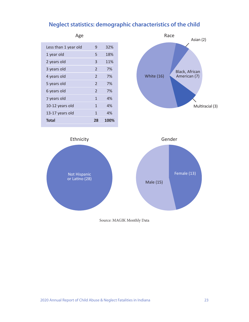### **Neglect statistics: demographic characteristics of the child**

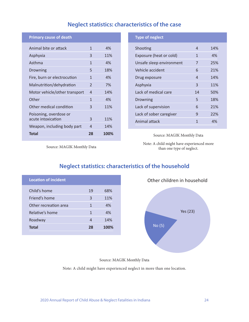# **Neglect statistics: characteristics of the case**

#### **Primary cause of death**

| Animal bite or attack                        | 1                        | 4%   |
|----------------------------------------------|--------------------------|------|
| Asphyxia                                     | 3                        | 11%  |
| Asthma                                       | 1                        | 4%   |
| Drowning                                     | 5                        | 18%  |
| Fire, burn or electrocution                  | 1                        | 4%   |
| Malnutrition/dehydration                     | $\overline{\phantom{0}}$ | 7%   |
| Motor vehicle/other transport                | 4                        | 14%  |
| Other                                        | 1                        | 4%   |
| Other medical condition                      | 3                        | 11%  |
| Poisoning, overdose or<br>acute intoxication | 3                        | 11%  |
| Weapon, including body part                  | 4                        | 14%  |
| <b>Total</b>                                 | 28                       | 100% |

#### **Type of neglect**

| Shooting                 | 4  | 14% |
|--------------------------|----|-----|
| Exposure (heat or cold)  | 1  | 4%  |
| Unsafe sleep environment | 7  | 25% |
| Vehicle accident         | 6  | 21% |
| Drug exposure            | 4  | 14% |
| Asphyxia                 | 3  | 11% |
| Lack of medical care     | 14 | 50% |
| Drowning                 | 5  | 18% |
| Lack of supervision      | 6  | 21% |
| Lack of sober caregiver  | 9  | 22% |
| Animal attack            | 1  | 4%  |
|                          |    |     |

#### Source: MAGIK Monthly Data

Note: A child might have experienced more than one type of neglect.

Source: MAGIK Monthly Data

| <b>Location of incident</b> |    |      |
|-----------------------------|----|------|
| Child's home                | 19 | 68%  |
| Friend's home               | 3  | 11%  |
| Other recreation area       | 1  | 4%   |
| Relative's home             | 1  | 4%   |
| Roadway                     | 4  | 14%  |
| <b>Total</b>                | 28 | 100% |
|                             |    |      |

# **Neglect statistics: characteristics of the household**



#### Source: MAGIK Monthly Data

Note: A child might have experienced neglect in more than one location.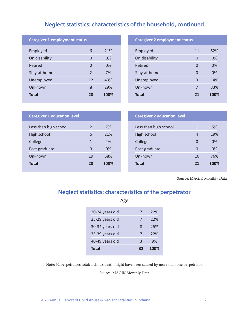# **Neglect statistics: characteristics of the household, continued**

| <b>Caregiver 1 employment status</b> |                |      |
|--------------------------------------|----------------|------|
| Employed                             | 6              | 21%  |
| On disability                        | 0              | 0%   |
| Retired                              | 0              | 0%   |
| Stay-at-home                         | $\mathfrak{D}$ | 7%   |
| Unemployed                           | 12             | 43%  |
| Unknown                              | 8              | 29%  |
| <b>Total</b>                         | 28             | 100% |

#### **Caregiver 2 employment status**

| Employed      | 11 | 52%  |
|---------------|----|------|
| On disability | 0  | 0%   |
| Retired       | 0  | 0%   |
| Stay-at-home  | 0  | 0%   |
| Unemployed    | 3  | 14%  |
| Unknown       | 7  | 33%  |
| <b>Total</b>  | 21 | 100% |

| <b>Caregiver 1 education level</b> |               |      |
|------------------------------------|---------------|------|
| Less than high school              | $\mathcal{P}$ | 7%   |
| High school                        | 6             | 21%  |
| College                            | 1             | 4%   |
| Post-graduate                      | O             | 0%   |
| Unknown                            | 19            | 68%  |
| <b>Total</b>                       | 28            | 100% |

| <b>Caregiver 2 education level</b> |          |      |
|------------------------------------|----------|------|
| Less than high school              | 1        | 5%   |
| High school                        | 4        | 19%  |
| College                            | $\Omega$ | 0%   |
| Post-graduate                      | O        | 0%   |
| Unknown                            | 16       | 76%  |
| <b>Total</b>                       | 21       | 100% |

Source: MAGIK Monthly Data

## **Neglect statistics: characteristics of the perpetrator**

Age

| 20-24 years old | 7  | 72%  |
|-----------------|----|------|
| 25-29 years old | 7  | 22%  |
| 30-34 years old | 8  | 25%  |
| 35-39 years old | 7  | 22%  |
| 40-49 years old | 3  | 9%   |
| <b>Total</b>    | 37 | 100% |

Note: 32 perpetrators total; a child's death might have been caused by more than one perpetrator.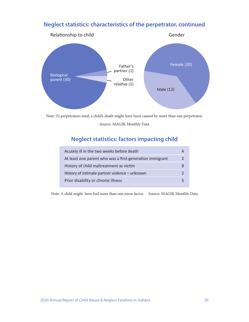### **Neglect statistics: characteristics of the perpetrator, continued**



Note: 32 perpetrators total; a child's death might have been caused by more than one perpetrator.

Source: MAGIK Monthly Data

### **Neglect statistics: factors impacting child**

| Acutely ill in the two weeks before death                |  |
|----------------------------------------------------------|--|
| At least one parent who was a first-generation immigrant |  |
| History of child maltreatment as victim                  |  |
| History of intimate partner violence - unknown           |  |
| Prior disability or chronic illness                      |  |

Note: A child might have had more than one stress factor. Source: MAGIK Monthly Data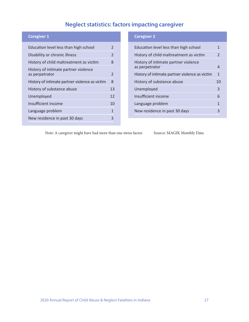# **Neglect statistics: factors impacting caregiver**

| <b>Caregiver 1</b>                                     |                |
|--------------------------------------------------------|----------------|
| Education level less than high school                  | $\mathcal{P}$  |
| Disability or chronic illness                          | $\mathfrak{D}$ |
| History of child maltreatment as victim                | 8              |
| History of intimate partner violence<br>as perpetrator | $\mathcal{P}$  |
| History of intimate partner violence as victim         | 8              |
| History of substance abuse                             | 13             |
| Unemployed                                             | 12             |
| Insufficient income                                    | 10             |
| Language problem                                       | 1              |
| New residence in past 30 days                          | 3              |
|                                                        |                |

#### **Caregiver 2**

| Education level less than high school                  | 1              |
|--------------------------------------------------------|----------------|
| History of child maltreatment as victim                | $\mathfrak{D}$ |
| History of intimate partner violence<br>as perpetrator | 4              |
| History of intimate partner violence as victim         | $\mathbf{1}$   |
|                                                        |                |
| History of substance abuse                             | 10             |
| Unemployed                                             | 3              |
| Insufficient income                                    | 6              |
| Language problem                                       | 1              |
| New residence in past 30 days                          | 3              |

Note: A caregiver might have had more than one stress factor. Source: MAGIK Monthly Data